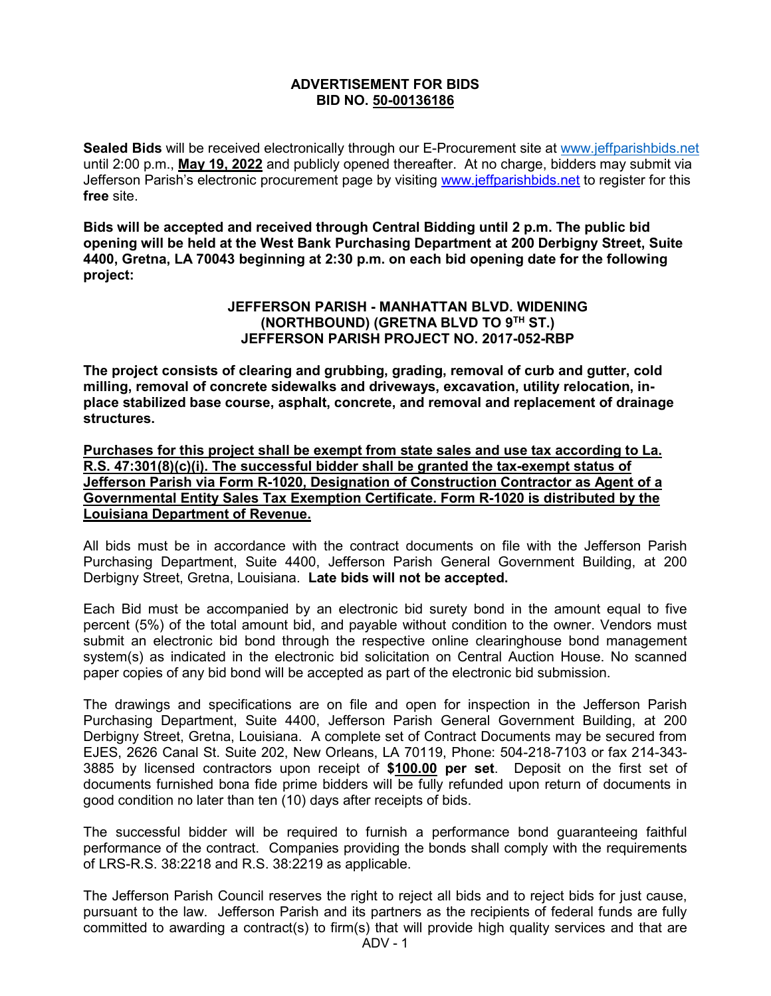## **ADVERTISEMENT FOR BIDS BID NO. 50-00136186**

**Sealed Bids** will be received electronically through our E-Procurement site at [www.jeffparishbids.net](http://www.jeffparishbids.net/) until 2:00 p.m., **May 19, 2022** and publicly opened thereafter. At no charge, bidders may submit via Jefferson Parish's electronic procurement page by visiting [www.jeffparishbids.net](http://www.jeffparishbids.net/) to register for this **free** site.

**Bids will be accepted and received through Central Bidding until 2 p.m. The public bid opening will be held at the West Bank Purchasing Department at 200 Derbigny Street, Suite 4400, Gretna, LA 70043 beginning at 2:30 p.m. on each bid opening date for the following project:**

## **JEFFERSON PARISH - MANHATTAN BLVD. WIDENING (NORTHBOUND) (GRETNA BLVD TO 9TH ST.) JEFFERSON PARISH PROJECT NO. 2017-052-RBP**

**The project consists of clearing and grubbing, grading, removal of curb and gutter, cold milling, removal of concrete sidewalks and driveways, excavation, utility relocation, inplace stabilized base course, asphalt, concrete, and removal and replacement of drainage structures.** 

**Purchases for this project shall be exempt from state sales and use tax according to La. R.S. 47:301(8)(c)(i). The successful bidder shall be granted the tax-exempt status of Jefferson Parish via Form R-1020, Designation of Construction Contractor as Agent of a Governmental Entity Sales Tax Exemption Certificate. Form R-1020 is distributed by the Louisiana Department of Revenue.** 

All bids must be in accordance with the contract documents on file with the Jefferson Parish Purchasing Department, Suite 4400, Jefferson Parish General Government Building, at 200 Derbigny Street, Gretna, Louisiana. **Late bids will not be accepted.**

Each Bid must be accompanied by an electronic bid surety bond in the amount equal to five percent (5%) of the total amount bid, and payable without condition to the owner. Vendors must submit an electronic bid bond through the respective online clearinghouse bond management system(s) as indicated in the electronic bid solicitation on Central Auction House. No scanned paper copies of any bid bond will be accepted as part of the electronic bid submission.

The drawings and specifications are on file and open for inspection in the Jefferson Parish Purchasing Department, Suite 4400, Jefferson Parish General Government Building, at 200 Derbigny Street, Gretna, Louisiana. A complete set of Contract Documents may be secured from EJES, 2626 Canal St. Suite 202, New Orleans, LA 70119, Phone: 504-218-7103 or fax 214-343- 3885 by licensed contractors upon receipt of **\$100.00 per set**. Deposit on the first set of documents furnished bona fide prime bidders will be fully refunded upon return of documents in good condition no later than ten (10) days after receipts of bids.

The successful bidder will be required to furnish a performance bond guaranteeing faithful performance of the contract. Companies providing the bonds shall comply with the requirements of LRS-R.S. 38:2218 and R.S. 38:2219 as applicable.

The Jefferson Parish Council reserves the right to reject all bids and to reject bids for just cause, pursuant to the law. Jefferson Parish and its partners as the recipients of federal funds are fully committed to awarding a contract(s) to firm(s) that will provide high quality services and that are